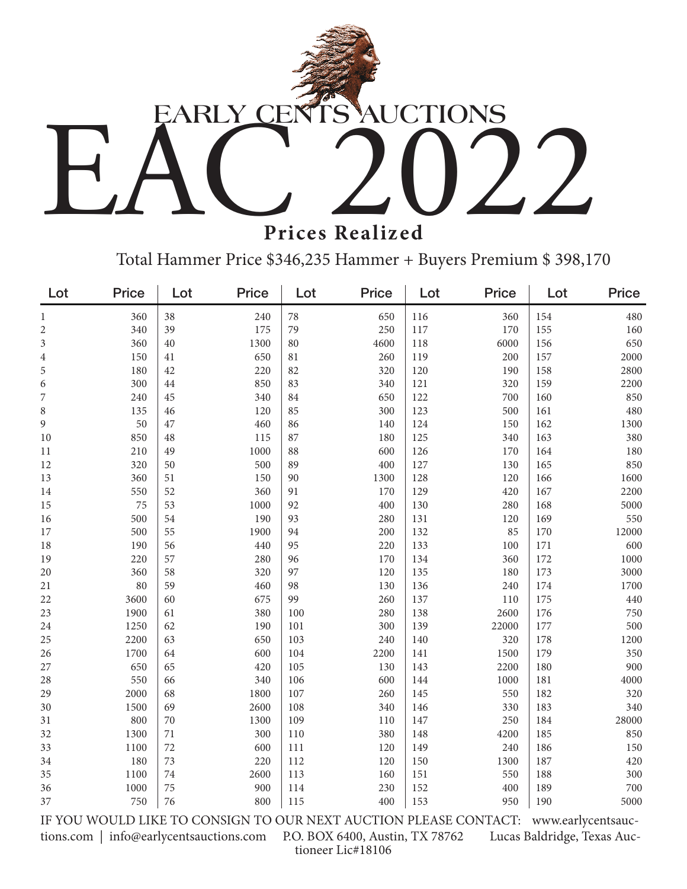

**Prices Realized**

Total Hammer Price \$346,235 Hammer + Buyers Premium \$ 398,170

| Lot                                                                                                        | <b>Price</b> | Lot    | <b>Price</b> | Lot | <b>Price</b> | Lot | <b>Price</b> | Lot | Price |
|------------------------------------------------------------------------------------------------------------|--------------|--------|--------------|-----|--------------|-----|--------------|-----|-------|
| $\mathbf{1}$                                                                                               | 360          | 38     | 240          | 78  | 650          | 116 | 360          | 154 | 480   |
| $\overline{c}$                                                                                             | 340          | 39     | 175          | 79  | 250          | 117 | 170          | 155 | 160   |
| 3                                                                                                          | 360          | 40     | 1300         | 80  | 4600         | 118 | 6000         | 156 | 650   |
| $\overline{4}$                                                                                             | 150          | $41\,$ | 650          | 81  | 260          | 119 | 200          | 157 | 2000  |
| 5                                                                                                          | 180          | 42     | 220          | 82  | 320          | 120 | 190          | 158 | 2800  |
| 6                                                                                                          | 300          | 44     | 850          | 83  | 340          | 121 | 320          | 159 | 2200  |
| 7                                                                                                          | 240          | 45     | 340          | 84  | 650          | 122 | 700          | 160 | 850   |
| 8                                                                                                          | 135          | 46     | 120          | 85  | 300          | 123 | 500          | 161 | 480   |
| 9                                                                                                          | 50           | 47     | 460          | 86  | 140          | 124 | 150          | 162 | 1300  |
| 10                                                                                                         | 850          | 48     | 115          | 87  | 180          | 125 | 340          | 163 | 380   |
| $11\,$                                                                                                     | 210          | 49     | 1000         | 88  | 600          | 126 | 170          | 164 | 180   |
| 12                                                                                                         | 320          | 50     | 500          | 89  | 400          | 127 | 130          | 165 | 850   |
| 13                                                                                                         | 360          | 51     | 150          | 90  | 1300         | 128 | 120          | 166 | 1600  |
| 14                                                                                                         | 550          | 52     | 360          | 91  | 170          | 129 | 420          | 167 | 2200  |
| 15                                                                                                         | 75           | 53     | 1000         | 92  | 400          | 130 | 280          | 168 | 5000  |
| 16                                                                                                         | 500          | 54     | 190          | 93  | 280          | 131 | 120          | 169 | 550   |
| 17                                                                                                         | 500          | 55     | 1900         | 94  | 200          | 132 | 85           | 170 | 12000 |
| 18                                                                                                         | 190          | 56     | 440          | 95  | 220          | 133 | 100          | 171 | 600   |
| 19                                                                                                         | 220          | 57     | 280          | 96  | 170          | 134 | 360          | 172 | 1000  |
| $20\,$                                                                                                     | 360          | 58     | 320          | 97  | 120          | 135 | 180          | 173 | 3000  |
| 21                                                                                                         | 80           | 59     | 460          | 98  | 130          | 136 | 240          | 174 | 1700  |
| 22                                                                                                         | 3600         | 60     | 675          | 99  | 260          | 137 | 110          | 175 | 440   |
| 23                                                                                                         | 1900         | 61     | 380          | 100 | 280          | 138 | 2600         | 176 | 750   |
| 24                                                                                                         | 1250         | 62     | 190          | 101 | 300          | 139 | 22000        | 177 | 500   |
| $25\,$                                                                                                     | 2200         | 63     | 650          | 103 | 240          | 140 | 320          | 178 | 1200  |
| 26                                                                                                         | 1700         | 64     | 600          | 104 | 2200         | 141 | 1500         | 179 | 350   |
| 27                                                                                                         | 650          | 65     | 420          | 105 | 130          | 143 | 2200         | 180 | 900   |
| 28                                                                                                         | 550          | 66     | 340          | 106 | 600          | 144 | 1000         | 181 | 4000  |
| 29                                                                                                         | 2000         | 68     | 1800         | 107 | 260          | 145 | 550          | 182 | 320   |
| 30                                                                                                         | 1500         | 69     | 2600         | 108 | 340          | 146 | 330          | 183 | 340   |
| 31                                                                                                         | 800          | $70\,$ | 1300         | 109 | 110          | 147 | 250          | 184 | 28000 |
| 32                                                                                                         | 1300         | $71\,$ | 300          | 110 | 380          | 148 | 4200         | 185 | 850   |
| 33                                                                                                         | 1100         | 72     | 600          | 111 | 120          | 149 | 240          | 186 | 150   |
| 34                                                                                                         | 180          | 73     | 220          | 112 | 120          | 150 | 1300         | 187 | 420   |
| 35                                                                                                         | 1100         | 74     | 2600         | 113 | 160          | 151 | 550          | 188 | 300   |
| 36                                                                                                         | 1000         | 75     | 900          | 114 | 230          | 152 | 400          | 189 | 700   |
| 37                                                                                                         | 750          | 76     | 800          | 115 | 400          | 153 | 950          | 190 | 5000  |
| IF YOU WOULD LIKE TO CONSIGN TO OUR NEXT AUCTION PLEASE CONTACT:<br>www.earlycentsauc-                     |              |        |              |     |              |     |              |     |       |
| Lucas Baldridge, Texas Auc-<br>info@earlycentsauctions.com<br>P.O. BOX 6400, Austin, TX 78762<br>tions.com |              |        |              |     |              |     |              |     |       |

tioneer Lic#18106